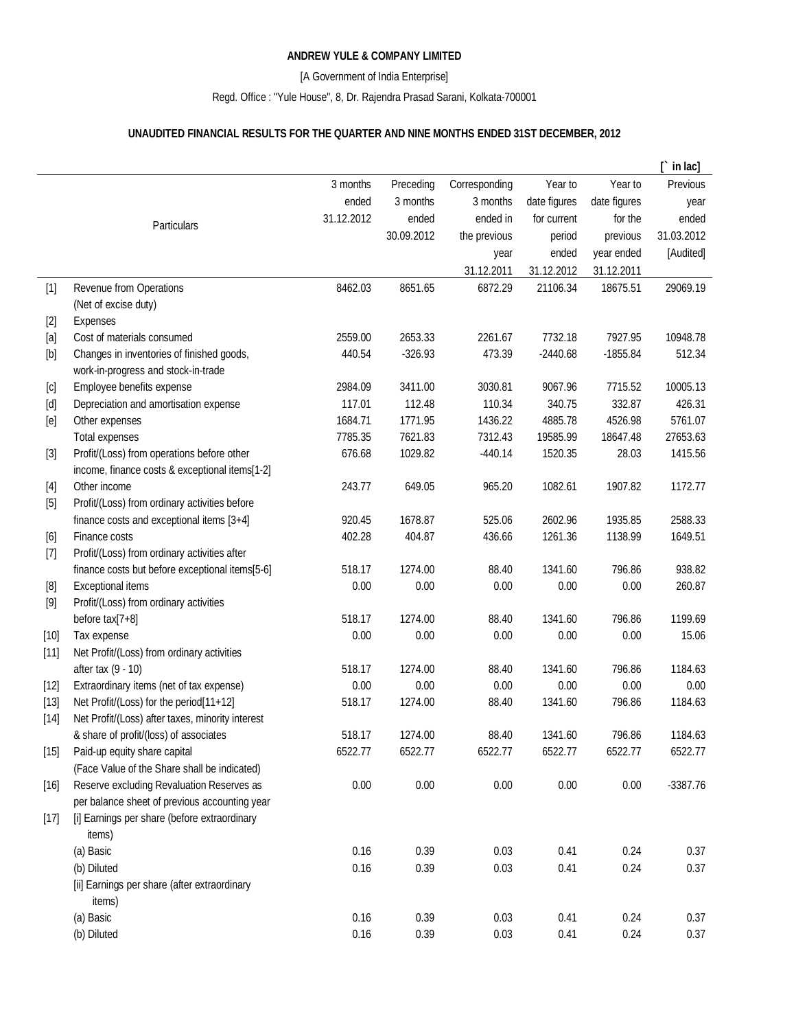## **ANDREW YULE & COMPANY LIMITED**

[A Government of India Enterprise]

Regd. Office : "Yule House", 8, Dr. Rajendra Prasad Sarani, Kolkata-700001

## **UNAUDITED FINANCIAL RESULTS FOR THE QUARTER AND NINE MONTHS ENDED 31ST DECEMBER, 2012**

|                                                                                                                                                                                                                                                                                                                                                                                                                                                                                                                                                                                                                     |                                                  |            |            |               |              |              | in lac]    |
|---------------------------------------------------------------------------------------------------------------------------------------------------------------------------------------------------------------------------------------------------------------------------------------------------------------------------------------------------------------------------------------------------------------------------------------------------------------------------------------------------------------------------------------------------------------------------------------------------------------------|--------------------------------------------------|------------|------------|---------------|--------------|--------------|------------|
|                                                                                                                                                                                                                                                                                                                                                                                                                                                                                                                                                                                                                     |                                                  | 3 months   | Preceding  | Corresponding | Year to      | Year to      | Previous   |
|                                                                                                                                                                                                                                                                                                                                                                                                                                                                                                                                                                                                                     |                                                  | ended      | 3 months   | 3 months      | date figures | date figures | year       |
|                                                                                                                                                                                                                                                                                                                                                                                                                                                                                                                                                                                                                     | Particulars                                      | 31.12.2012 | ended      | ended in      | for current  | for the      | ended      |
|                                                                                                                                                                                                                                                                                                                                                                                                                                                                                                                                                                                                                     |                                                  |            | 30.09.2012 | the previous  | period       | previous     | 31.03.2012 |
|                                                                                                                                                                                                                                                                                                                                                                                                                                                                                                                                                                                                                     |                                                  |            |            | year          | ended        | year ended   | [Audited]  |
|                                                                                                                                                                                                                                                                                                                                                                                                                                                                                                                                                                                                                     |                                                  |            |            | 31.12.2011    | 31.12.2012   | 31.12.2011   |            |
| $[1]$                                                                                                                                                                                                                                                                                                                                                                                                                                                                                                                                                                                                               | Revenue from Operations                          | 8462.03    | 8651.65    | 6872.29       | 21106.34     | 18675.51     | 29069.19   |
|                                                                                                                                                                                                                                                                                                                                                                                                                                                                                                                                                                                                                     | (Net of excise duty)                             |            |            |               |              |              |            |
| $[2]$                                                                                                                                                                                                                                                                                                                                                                                                                                                                                                                                                                                                               | Expenses                                         |            |            |               |              |              |            |
| [a]                                                                                                                                                                                                                                                                                                                                                                                                                                                                                                                                                                                                                 | Cost of materials consumed                       | 2559.00    | 2653.33    | 2261.67       | 7732.18      | 7927.95      | 10948.78   |
| [b]                                                                                                                                                                                                                                                                                                                                                                                                                                                                                                                                                                                                                 | Changes in inventories of finished goods,        | 440.54     | $-326.93$  | 473.39        | $-2440.68$   | $-1855.84$   | 512.34     |
|                                                                                                                                                                                                                                                                                                                                                                                                                                                                                                                                                                                                                     | work-in-progress and stock-in-trade              |            |            |               |              |              |            |
| [c]                                                                                                                                                                                                                                                                                                                                                                                                                                                                                                                                                                                                                 | Employee benefits expense                        | 2984.09    | 3411.00    | 3030.81       | 9067.96      | 7715.52      | 10005.13   |
| $[d] % \begin{center} % \includegraphics[width=\linewidth]{imagesSupplemental_3.png} % \end{center} % \caption { % \textit{Def}_l$ in the image \textit{Def}_l$ in the image \textit{Def}_l$ in the image \textit{Def}_l$ in the image \textit{Def}_l$ in the image \textit{Def}_l$ in the image \textit{Def}_l$ in the image \textit{Def}_l$ in the image \textit{Def}_l$ in the image \textit{Def}_l$ in the image \textit{Def}_l$ in the image \textit{Def}_l$ in the image \textit{Def}_l$ in the image \textit{Def}_l$ in the image \textit{Def}_l$ in the image \textit{Def}_l$ in the image \textit{Def}_l$$ | Depreciation and amortisation expense            | 117.01     | 112.48     | 110.34        | 340.75       | 332.87       | 426.31     |
| [e]                                                                                                                                                                                                                                                                                                                                                                                                                                                                                                                                                                                                                 | Other expenses                                   | 1684.71    | 1771.95    | 1436.22       | 4885.78      | 4526.98      | 5761.07    |
|                                                                                                                                                                                                                                                                                                                                                                                                                                                                                                                                                                                                                     | <b>Total expenses</b>                            | 7785.35    | 7621.83    | 7312.43       | 19585.99     | 18647.48     | 27653.63   |
| $[3]$                                                                                                                                                                                                                                                                                                                                                                                                                                                                                                                                                                                                               | Profit/(Loss) from operations before other       | 676.68     | 1029.82    | $-440.14$     | 1520.35      | 28.03        | 1415.56    |
|                                                                                                                                                                                                                                                                                                                                                                                                                                                                                                                                                                                                                     | income, finance costs & exceptional items[1-2]   |            |            |               |              |              |            |
| $[4]$                                                                                                                                                                                                                                                                                                                                                                                                                                                                                                                                                                                                               | Other income                                     | 243.77     | 649.05     | 965.20        | 1082.61      | 1907.82      | 1172.77    |
| $[5]$                                                                                                                                                                                                                                                                                                                                                                                                                                                                                                                                                                                                               | Profit/(Loss) from ordinary activities before    |            |            |               |              |              |            |
|                                                                                                                                                                                                                                                                                                                                                                                                                                                                                                                                                                                                                     | finance costs and exceptional items [3+4]        | 920.45     | 1678.87    | 525.06        | 2602.96      | 1935.85      | 2588.33    |
| [6]                                                                                                                                                                                                                                                                                                                                                                                                                                                                                                                                                                                                                 | Finance costs                                    | 402.28     | 404.87     | 436.66        | 1261.36      | 1138.99      | 1649.51    |
| $[7]$                                                                                                                                                                                                                                                                                                                                                                                                                                                                                                                                                                                                               | Profit/(Loss) from ordinary activities after     |            |            |               |              |              |            |
|                                                                                                                                                                                                                                                                                                                                                                                                                                                                                                                                                                                                                     | finance costs but before exceptional items[5-6]  | 518.17     | 1274.00    | 88.40         | 1341.60      | 796.86       | 938.82     |
| [8]                                                                                                                                                                                                                                                                                                                                                                                                                                                                                                                                                                                                                 | <b>Exceptional items</b>                         | 0.00       | 0.00       | 0.00          | 0.00         | 0.00         | 260.87     |
| $[9]$                                                                                                                                                                                                                                                                                                                                                                                                                                                                                                                                                                                                               | Profit/(Loss) from ordinary activities           |            |            |               |              |              |            |
|                                                                                                                                                                                                                                                                                                                                                                                                                                                                                                                                                                                                                     | before tax[7+8]                                  | 518.17     | 1274.00    | 88.40         | 1341.60      | 796.86       | 1199.69    |
| $[10]$                                                                                                                                                                                                                                                                                                                                                                                                                                                                                                                                                                                                              | Tax expense                                      | 0.00       | 0.00       | 0.00          | 0.00         | 0.00         | 15.06      |
| $[11]$                                                                                                                                                                                                                                                                                                                                                                                                                                                                                                                                                                                                              | Net Profit/(Loss) from ordinary activities       |            |            |               |              |              |            |
|                                                                                                                                                                                                                                                                                                                                                                                                                                                                                                                                                                                                                     | after tax (9 - 10)                               | 518.17     | 1274.00    | 88.40         | 1341.60      | 796.86       | 1184.63    |
| $[12]$                                                                                                                                                                                                                                                                                                                                                                                                                                                                                                                                                                                                              | Extraordinary items (net of tax expense)         | 0.00       | 0.00       | 0.00          | 0.00         | 0.00         | 0.00       |
| $[13]$                                                                                                                                                                                                                                                                                                                                                                                                                                                                                                                                                                                                              | Net Profit/(Loss) for the period[11+12]          | 518.17     | 1274.00    | 88.40         | 1341.60      | 796.86       | 1184.63    |
| $[14]$                                                                                                                                                                                                                                                                                                                                                                                                                                                                                                                                                                                                              | Net Profit/(Loss) after taxes, minority interest |            |            |               |              |              |            |
|                                                                                                                                                                                                                                                                                                                                                                                                                                                                                                                                                                                                                     | & share of profit/(loss) of associates           | 518.17     | 1274.00    | 88.40         | 1341.60      | 796.86       | 1184.63    |
| $[15]$                                                                                                                                                                                                                                                                                                                                                                                                                                                                                                                                                                                                              | Paid-up equity share capital                     | 6522.77    | 6522.77    | 6522.77       | 6522.77      | 6522.77      | 6522.77    |
|                                                                                                                                                                                                                                                                                                                                                                                                                                                                                                                                                                                                                     | (Face Value of the Share shall be indicated)     |            |            |               |              |              |            |
| $[16]$                                                                                                                                                                                                                                                                                                                                                                                                                                                                                                                                                                                                              | Reserve excluding Revaluation Reserves as        | 0.00       | 0.00       | 0.00          | 0.00         | 0.00         | $-3387.76$ |
|                                                                                                                                                                                                                                                                                                                                                                                                                                                                                                                                                                                                                     | per balance sheet of previous accounting year    |            |            |               |              |              |            |
| $[17]$                                                                                                                                                                                                                                                                                                                                                                                                                                                                                                                                                                                                              | [i] Earnings per share (before extraordinary     |            |            |               |              |              |            |
|                                                                                                                                                                                                                                                                                                                                                                                                                                                                                                                                                                                                                     | items)                                           |            |            |               |              |              |            |
|                                                                                                                                                                                                                                                                                                                                                                                                                                                                                                                                                                                                                     | (a) Basic                                        | 0.16       | 0.39       | 0.03          | 0.41         | 0.24         | 0.37       |
|                                                                                                                                                                                                                                                                                                                                                                                                                                                                                                                                                                                                                     | (b) Diluted                                      | 0.16       | 0.39       | 0.03          | 0.41         | 0.24         | 0.37       |
|                                                                                                                                                                                                                                                                                                                                                                                                                                                                                                                                                                                                                     | [ii] Earnings per share (after extraordinary     |            |            |               |              |              |            |
|                                                                                                                                                                                                                                                                                                                                                                                                                                                                                                                                                                                                                     | items)                                           |            |            |               |              |              |            |
|                                                                                                                                                                                                                                                                                                                                                                                                                                                                                                                                                                                                                     | (a) Basic                                        | 0.16       | 0.39       | 0.03          | 0.41         | 0.24         | 0.37       |
|                                                                                                                                                                                                                                                                                                                                                                                                                                                                                                                                                                                                                     | (b) Diluted                                      | 0.16       | 0.39       | 0.03          | 0.41         | 0.24         | 0.37       |